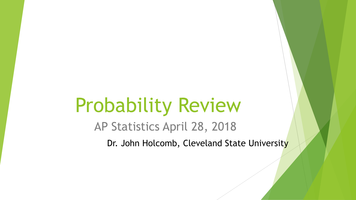# Probability Review

### AP Statistics April 28, 2018

Dr. John Holcomb, Cleveland State University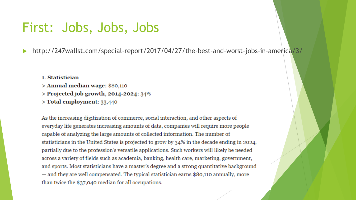### First: Jobs, Jobs, Jobs

http://247wallst.com/special-report/2017/04/27/the-best-and-worst-jobs-in-america/3/

- 1. Statistician
- > Annual median wage: \$80,110
- > Projected job growth, 2014-2024:  $34\%$
- > Total employment: 33,440

As the increasing digitization of commerce, social interaction, and other aspects of everyday life generates increasing amounts of data, companies will require more people capable of analyzing the large amounts of collected information. The number of statisticians in the United States is projected to grow by 34% in the decade ending in 2024, partially due to the profession's versatile applications. Such workers will likely be needed across a variety of fields such as academia, banking, health care, marketing, government, and sports. Most statisticians have a master's degree and a strong quantitative background - and they are well compensated. The typical statistician earns \$80,110 annually, more than twice the \$37,040 median for all occupations.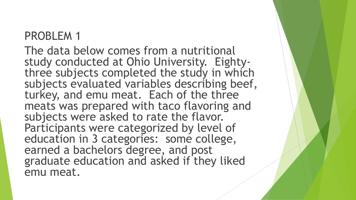### PROBLEM 1

The data below comes from a nutritional study conducted at Ohio University. Eightythree subjects completed the study in which subjects evaluated variables describing beef, turkey, and emu meat. Each of the three meats was prepared with taco flavoring and subjects were asked to rate the flavor. Participants were categorized by level of education in 3 categories: some college, earned a bachelors degree, and post graduate education and asked if they liked emu meat.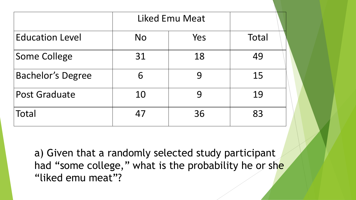|                          |           | <b>Liked Emu Meat</b> |       |
|--------------------------|-----------|-----------------------|-------|
| <b>Education Level</b>   | <b>No</b> | Yes                   | Total |
| <b>Some College</b>      | 31        | 18                    | 49    |
| <b>Bachelor's Degree</b> | 6         | 9                     | 15    |
| <b>Post Graduate</b>     | 10        | 9                     | 19    |
| Total                    | 47        | 36                    | 83    |

a) Given that a randomly selected study participant had "some college," what is the probability he or she "liked emu meat"?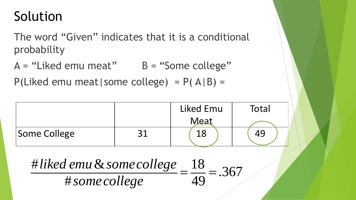# Solution

| Solution<br>The word "Given" indicates that it is a conditional                                   |  |  |  |
|---------------------------------------------------------------------------------------------------|--|--|--|
| probability<br>A = "Liked emu meat"<br>B = "Some college"                                         |  |  |  |
| $P(Liked emu meat some college) = P(A B) =$                                                       |  |  |  |
| <b>Liked Emu</b><br>Total<br>Meat<br>(49)<br>Some College<br>31<br>$\left( 18 \right)$            |  |  |  |
| $\frac{\# liked\ emu \& some\ college}{\# some\ college} = \frac{18}{49} = .367$<br>#some college |  |  |  |
|                                                                                                   |  |  |  |
|                                                                                                   |  |  |  |
|                                                                                                   |  |  |  |
|                                                                                                   |  |  |  |
|                                                                                                   |  |  |  |
|                                                                                                   |  |  |  |
|                                                                                                   |  |  |  |
|                                                                                                   |  |  |  |
|                                                                                                   |  |  |  |

$$
\frac{\# liked\ emu \& some\ college}{\# some\ college} = \frac{18}{49} = .367
$$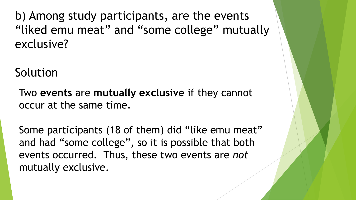b) Among study participants, are the events "liked emu meat" and "some college" mutually exclusive?

Solution

Two **events** are **mutually exclusive** if they cannot occur at the same time.

Some participants (18 of them) did "like emu meat" and had "some college", so it is possible that both events occurred. Thus, these two events are *not*  mutually exclusive.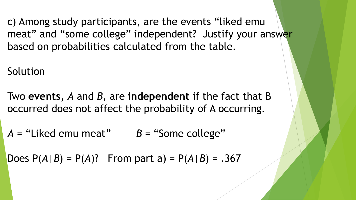c) Among study participants, are the events "liked emu meat" and "some college" independent? Justify your answer based on probabilities calculated from the table.

Solution

Two **events**, *A* and *B*, are **independent** if the fact that B occurred does not affect the probability of A occurring.

 $A =$  "Liked emu meat"  $B =$  "Some college"

Does  $P(A|B) = P(A)$ ? From part a) =  $P(A|B) = .367$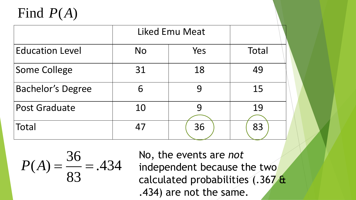| Find $P(A)$                                                                                 |           | Liked Emu Meat                                              |       |
|---------------------------------------------------------------------------------------------|-----------|-------------------------------------------------------------|-------|
| <b>Education Level</b>                                                                      | <b>No</b> | Yes                                                         | Total |
| Some College                                                                                | 31        | 18                                                          | 49    |
| Bachelor's Degree                                                                           | 6         | 9                                                           | 15    |
| Post Graduate                                                                               | 10        | 9                                                           | 19    |
| Total                                                                                       | 47        | 36                                                          | 83    |
|                                                                                             |           |                                                             |       |
| $P(A) = \frac{36}{83} = .434$ No, the events are not the two calculated probabilities (.367 |           | calculated probabilities (.367 &<br>.434) are not the same. |       |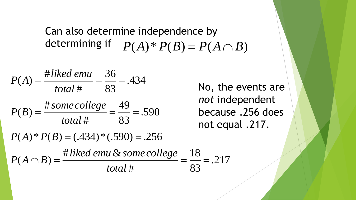Can also determine independence by determining if  $P(A)^* P(B) = P(A \cap B)$ 

Can also determine independence by  
\ndetermining if 
$$
P(A)*P(B) = P(A \cap B)
$$
  
\n
$$
P(A) = \frac{\# liked \text{ emu}}{\text{total #}} = \frac{36}{83} = .434
$$
\nNo, the events are not independent  
\n $P(B) = \frac{\# some \text{ college}}{\text{total #}} = \frac{49}{83} = .590$ \nNo, the events are not independent  
\nnot equal.256 does not equal .217.  
\n $P(A \cap B) = \frac{\# liked \text{ emu & some college}}{\text{total #}} = \frac{18}{83} = .217$ 

No, the events are *not* independent because .256 does not equal .217.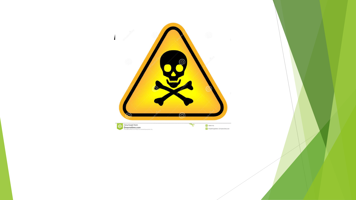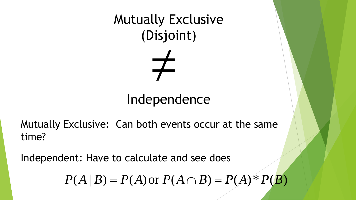Mutually Exclusive (Disjoint)  $\frac{1}{\sqrt{2}}$ *P A B P A P A B P A P B* ( | ) ( )or ( ) ( )\* ( ) = =

## Independence

Mutually Exclusive: Can both events occur at the same time?

Independent: Have to calculate and see does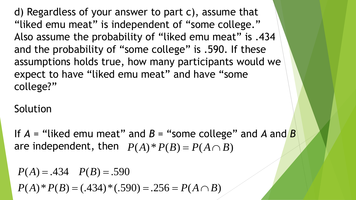d) Regardless of your answer to part c), assume that "liked emu meat" is independent of "some college." Also assume the probability of "liked emu meat" is .434 and the probability of "some college" is .590. If these assumptions holds true, how many participants would we expect to have "liked emu meat" and have "some college?" *Regardless of your answer to part c), assume that*<br> *Red emu meat"* is independent of "some college."<br>
so assume the probability of "liked emu meat" is .434<br> *d* the probability of "some college" is .590. If these<br>
sumpt Regardless of your answer to part c), assume that<br>ked emu meat" is independent of "some college."<br>so assume the probability of "liked emu meat" is .4<br>d the probability of "some college" is .590. If these<br>sumptions holds t *P*) Regardless of your answer to partical intervals the probability of "like and the probability of "like and the probability of "some colleges<br> *P* A a B probability of "some colleges intervals and the probability of "s *P* A  $\rightarrow$  P  $\rightarrow$  P  $\rightarrow$  P  $\rightarrow$  P  $\rightarrow$  P  $\rightarrow$  P  $\rightarrow$  P  $\rightarrow$  P  $\rightarrow$  P  $\rightarrow$  P  $\rightarrow$  P  $\rightarrow$  P  $\rightarrow$  P  $\rightarrow$  P  $\rightarrow$  P  $\rightarrow$  P  $\rightarrow$  P  $\rightarrow$  P  $\rightarrow$  P  $\rightarrow$  P  $\rightarrow$  P  $\rightarrow$  P  $\rightarrow$  P  $\rightarrow$  P  $\rightarrow$  P  $\rightarrow$  P  $\rightarrow$  P  $\rightarrow$  P  $\rightarrow$  P  $\rightarrow$  P  $\rightarrow$  gardless of your answer to part c), assume that<br>
emu meat" is independent of "some college."<br>
ssume the probability of "liked emu meat" is .434<br>
he probability of "some college" is .590. If these<br>
ptions holds true, how m s of your answer to part c), assume that<br>
meat" is independent of "some college."<br>
the probability of "liked emu meat" is .434<br>
vability of "some college" is .590. If these<br>
holds true, how many participants would we<br>
ve

Solution

If *A* = "liked emu meat" and *B* = "some college" and *A* and *B* are independent, then  $P(A)^* P(B) = P(A \cap B)$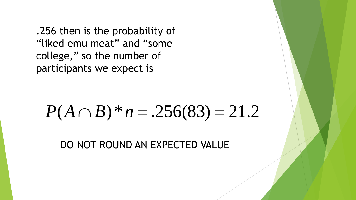.256 then is the probability of "liked emu meat" and "some college," so the number of participants we expect is 56 then is the probability of<br>
iked emu meat" and "some<br>
Illege," so the number of<br>
Irticipants we expect is<br>  $P(A \cap B) * n = .256(83) = 21.2$ <br>
DO NOT ROUND AN EXPECTED VALUE

DO NOT ROUND AN EXPECTED VALUE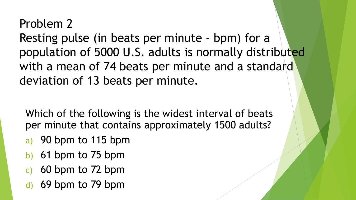### Problem 2

Resting pulse (in beats per minute - bpm) for a population of 5000 U.S. adults is normally distributed with a mean of 74 beats per minute and a standard deviation of 13 beats per minute.

Which of the following is the widest interval of beats per minute that contains approximately 1500 adults?

- a) 90 bpm to 115 bpm
- b) 61 bpm to 75 bpm
- c) 60 bpm to 72 bpm
- d) 69 bpm to 79 bpm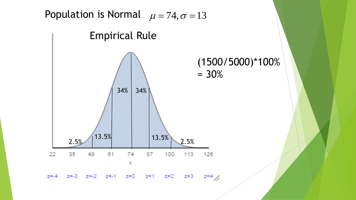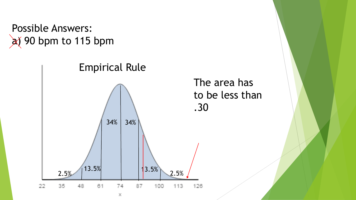



 $\mathcal{Y}^{\prime}_{\mathbf{L}}$ 

The area has to be less than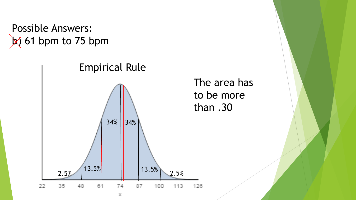Possible Answers:  $\cancel{\alpha}$  61 bpm to 75 bpm

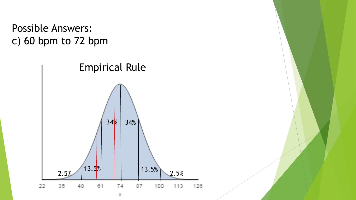Possible Answers: c) 60 bpm to 72 bpm

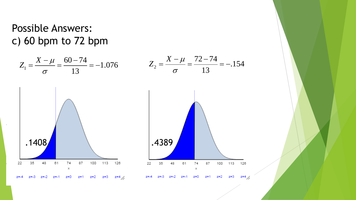### Possible Answers: c) 60 bpm to 72 bpm

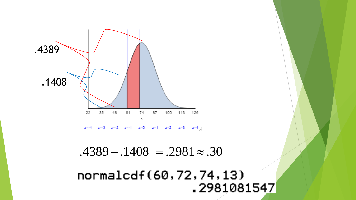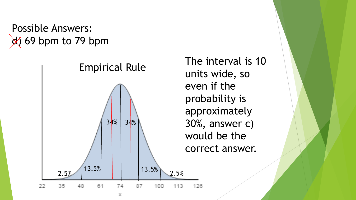Possible Answers: d) 69 bpm to 79 bpm



 $\mathbb{X}$ 

The interval is 10 units wide, so even if the probability is approximately 30%, answer c) would be the correct answer.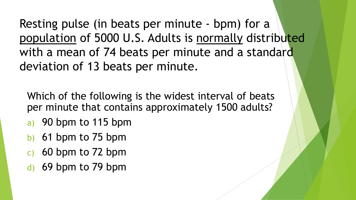Resting pulse (in beats per minute - bpm) for a population of 5000 U.S. Adults is normally distributed with a mean of 74 beats per minute and a standard deviation of 13 beats per minute.

Which of the following is the widest interval of beats per minute that contains approximately 1500 adults?

- a) 90 bpm to 115 bpm
- b) 61 bpm to 75 bpm
- c) 60 bpm to 72 bpm
- d) 69 bpm to 79 bpm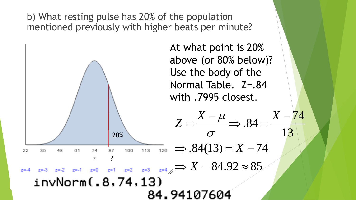b) What resting pulse has 20% of the population mentioned previously with higher beats per minute?

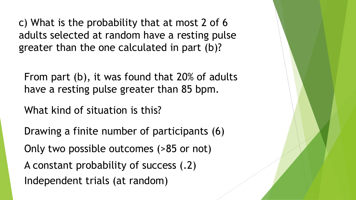c) What is the probability that at most 2 of 6 adults selected at random have a resting pulse greater than the one calculated in part (b)?

From part (b), it was found that 20% of adults have a resting pulse greater than 85 bpm.

What kind of situation is this?

Drawing a finite number of participants (6) A constant probability of success (.2) Only two possible outcomes (>85 or not) Independent trials (at random)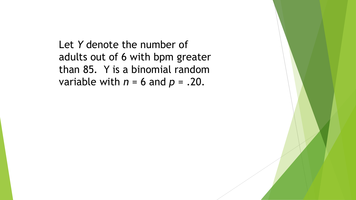Let *Y* denote the number of adults out of 6 with bpm greater than 85. Y is a binomial random variable with  $n = 6$  and  $p = .20$ .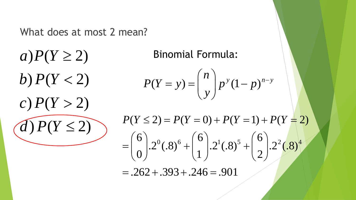What does at most 2 mean?

That does at most 2 me<br>
( $P(Y \ge 2)$ )<br>  $P(Y < 2)$ <br>  $\angle P(Y > 2)$ <br>  $\angle P(Y \le 2)$ Vhat does at most 2 me<br>
( $P(Y \ge 2)$ )<br>  $P(Y < 2)$ <br>  $P(Y > 2)$ <br>  $P(Y \le 2)$ <br>  $P(Y \le 2)$ <br>  $P(Y \le 2)$ Vhat does at most 2 me<br>
()  $P(Y \ge 2)$ <br>
()  $P(Y < 2)$ <br>
()  $P(Y > 2)$ <br>
()  $P(Y \le 2)$ <br>
()  $P(Y \le 2)$ <br>
( hat does at most 2 me<br>  $(P(Y \ge 2))$ <br>  $(P(Y < 2))$ <br>  $(P(Y \le 2))$ <br>  $(P(Y \le 2))$ <br>  $P(Y \le 2)$ <br>  $=$ <br>  $=$ <br>  $=$ What does at most 2 m<br> *a* )  $P(Y \ge 2)$ <br> *b* )  $P(Y < 2)$ <br> *c* )  $P(Y > 2)$ <br> *d* )  $P(Y \le 2)$ What does at most 2 me<br> *a*)  $P(Y \ge 2)$ <br> *b*)  $P(Y < 2)$ <br> *c*)  $P(Y > 2)$ <br> *d*)  $P(Y \le 2)$ What does at most 2 monder<br> *c* P (*Y*  $\ge$  2)<br> *c* ) P (*Y*  $\le$  2)<br> *c* ) P (*Y*  $\le$  2)<br> *C* ) P (*Y*  $\le$  2)<br> *C* = What does at most 2 me<br> *d* )  $P(Y \ge 2)$ <br> *b* )  $P(Y < 2)$ <br> *c* )  $P(Y > 2)$ <br> *d* )  $P(Y \le 2)$ <br>  $P(Y = 2)$ <br>  $P(Y = 2)$ <br>  $P(Y = 2)$  $a)P(Y \geq 2)$ b)  $P(Y < 2)$ c)  $P(Y > 2)$  $\widehat{d}$ )  $P(Y \leq 2)$ 

Binomial Formula:

$$
P(Y = y) = {n \choose y} p^{y} (1-p)^{n-y}
$$

mean?  
\nBinomial Formula:  
\n
$$
P(Y = y) = {n \choose y} p^{y} (1-p)^{n-y}
$$
\n
$$
P(Y \le 2) = P(Y = 0) + P(Y = 1) + P(Y = 2)
$$
\n
$$
= {6 \choose 0} .2^{0} (.8)^{6} + {6 \choose 1} .2^{1} (.8)^{5} + {6 \choose 2} .2^{2} (.8)^{4}
$$
\n
$$
= .262 + .393 + .246 = .901
$$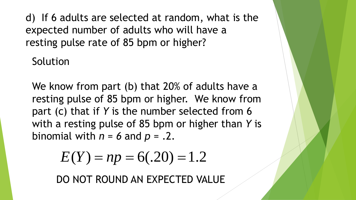d) If 6 adults are selected at random, what is the expected number of adults who will have a resting pulse rate of 85 bpm or higher?

Solution

We know from part (b) that 20% of adults have a resting pulse of 85 bpm or higher. We know from part (c) that if *Y* is the number selected from 6 with a resting pulse of 85 bpm or higher than *Y* is binomial with  $n = 6$  and  $p = .2$ . adults are selected at random, what is the<br> *E* of number of adults who will have a<br>
pulse rate of 85 bpm or higher?<br> **Solution**<br> **EXECT ASSES AND** The Music of 85 bpm or higher. We know from<br> **E** yields the number select

$$
E(Y) = np = 6(.20) = 1.2
$$

DO NOT ROUND AN EXPECTED VALUE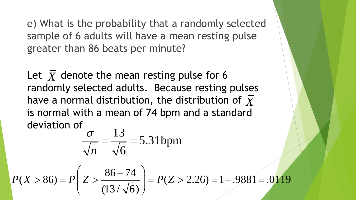e) What is the probability that a randomly selected sample of 6 adults will have a mean resting pulse greater than 86 beats per minute?

Let  $\overline{X}$  denote the mean resting pulse for 6 randomly selected adults. Because resting pulses have a normal distribution, the distribution of  $\overline{X}$ is normal with a mean of 74 bpm and a standard deviation of *X* / / / / / robability that a randomly selected<br>ts will have a mean resting pulse<br>beats per minute?<br>he mean resting pulse for 6<br>ed adults. Because resting pulses<br>istribution, the distribution of  $\overline{X}$ <br>mean of 74 bpm and a standard e) What is the probability that a randomly selected<br>sample of 6 adults will have a mean resting pulse<br>greater than 86 beats per minute?<br>Let  $\overline{X}$  denote the mean resting pulse for 6<br>randomly selected adults. Because re robability that a r<br>lts will have a me<br>beats per minute<br>he mean resting p<br>ed adults. Becau:<br>istribution, the di<br>mean of 74 bpm<br> $=\frac{13}{\sqrt{6}}$  = 5.31 bpm<br> $\frac{86-74}{(13/\sqrt{6})}$  =  $P(Z >$ **e**) What is the probability that a randomly seles sample of 6 adults will have a mean resting pulg greater than 86 beats per minute?<br>
Let  $\bar{X}$  denote the mean resting pulse for 6 randomly selected adults. Because rest the probability that a randomly selected<br>
6 adults will have a mean resting pulse<br>
an 86 beats per minute?<br>
ote the mean resting pulse for 6<br>
elected adults. Because resting pulses<br>
mal distribution, the distribution of What is the probability that a randomly selected<br>
simple of 6 adults will have a mean resting pulse<br>
eater than 86 beats per minute?<br>
Example 10 and 11 and 12 and 14 and 15 and 16 and 16 and 16 and 16 and 16 and 16 and 16

$$
\frac{\sigma}{\sqrt{n}} = \frac{13}{\sqrt{6}} = 5.31 \text{ bpm}
$$

$$
P(\overline{X} > 86) = P\left(Z > \frac{86 - 74}{(13/\sqrt{6})}\right) = P(Z > 2.26) = 1 - .9881 = .0119
$$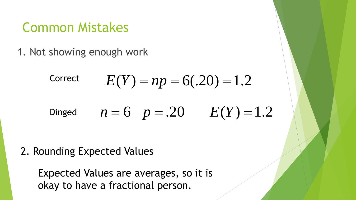### Common Mistakes

1. Not showing enough work

*E Y np* ( ) 6(.20) 1.2 = = = *n p E Y* = = = 6 .20 ( ) 1.2 Correct Dinged

### 2. Rounding Expected Values

Expected Values are averages, so it is okay to have a fractional person.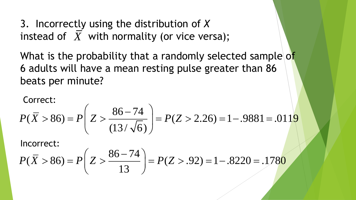3. Incorrectly using the distribution of *X* instead of  $X$  with normality (or vice versa);

What is the probability that a randomly selected sample of 6 adults will have a mean resting pulse greater than 86 beats per minute? 88. Incorrectly using the distribution of *X*<br>
site ad of  $\overline{X}$  with normality (or vice versa);<br>
Shat is the probability that a randomly selected sample of<br>
adults will have a mean resting pulse greater than 86<br>
eats p g the distribution<br>normality (or vice<br>ility that a randor<br>mean resting pul<br> $\frac{86-74}{(13/\sqrt{6})} = P(Z >$ <br> $\frac{86-74}{13} = P(Z > .9)$ 3. Incorrectly using the distribution of *X*<br>instead of  $\overline{X}$  with normality (or vice versa);<br>What is the probability that a randomly selected s<br>6 adults will have a mean resting pulse greater tha<br>beats per minute?<br>Cor r using the distribution of *X*<br>with normality (or vice versa);<br>cobability that a randomly selected sample of<br>ave a mean resting pulse greater than 86<br>ute?<br> $\left(Z > \frac{86-74}{(13/\sqrt{6})}\right) = P(Z > 2.26) = 1-.9881 = .0119$ <br> $\left(Z > \frac{86-74}{$ ncorrectly using the distribution of *X*<br>
ad of  $\overline{X}$  with normality (or vice versa);<br>
is the probability that a randomly selected sample of<br>
sults will have a mean resting pulse greater than 86<br>
sper minute?<br>
set:<br>  $>$ 98. Incorrectly using the distribution of *X*<br>
sistead of  $\overline{X}$  with normality (or vice versa);<br>
that is the probability that a randomly selected sample of<br>
adults will have a mean resting pulse greater than 86<br>
eats p 3. Incorrectly using the distribution of *X*<br>instead of  $\overline{X}$  with normality (or vice versa);<br>What is the probability that a randomly selected sample of<br>6 adults will have a mean resting pulse greater than 86<br>beats per ncorrectly using the distribution of *X*<br>aad of  $\overline{X}$  with normality (or vice versa);<br>t is the probability that a randomly selected sample of<br>ults will have a mean resting pulse greater than 86<br>s per minute?<br>set:<br> $> 86$ 

Correct:

$$
P(\overline{X} > 86) = P\left(Z > \frac{86 - 74}{(13/\sqrt{6})}\right) = P(Z > 2.26) = 1 - .9881 = .0119
$$

Incorrect:

$$
P(\overline{X} > 86) = P\left(Z > \frac{86 - 74}{13}\right) = P(Z > .92) = 1 - .8220 = .1780
$$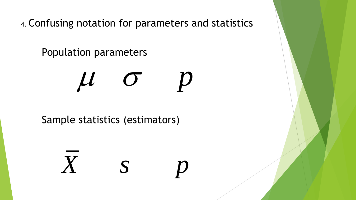4. Confusing notation for parameters and statistics

Population parameters

# Protation for parameters and statistics<br>
ion parameters<br>  $\mu \sigma p$ <br>
statistics (estimators)<br>
Fig. and a proper contractor of the contractor of the contractor of the contractor of the contractor of the contractor of the contr Figure 1<br> *X S P*<br> *X S P*

Sample statistics (estimators)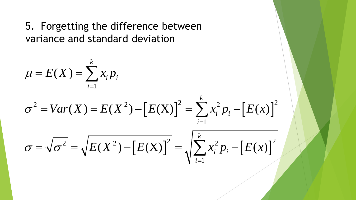5. Forgetting the difference between variance and standard deviation

$$
\mu = E(X) = \sum_{i=1}^k x_i p_i
$$

5. Forgetting the difference between variance and standard deviation  
\n
$$
\mu = E(X) = \sum_{i=1}^{k} x_i p_i
$$
\n
$$
\sigma^2 = Var(X) = E(X^2) - [E(X)]^2 = \sum_{i=1}^{k} x_i^2 p_i - [E(x)]^2
$$
\n
$$
\sigma = \sqrt{\sigma^2} = \sqrt{E(X^2) - [E(X)]^2} = \sqrt{\sum_{i=1}^{k} x_i^2 p_i - [E(x)]^2}
$$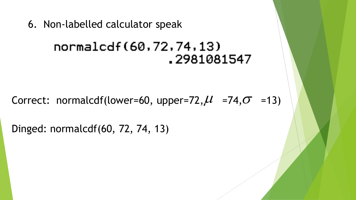6. Non-labelled calculator speak

### normalcdf(60,72,74,13) .2981081547

Correct: normalcdf(lower=60, upper=72,  $\mu$  =74,  $\sigma$  =13)

Dinged: normalcdf(60, 72, 74, 13)